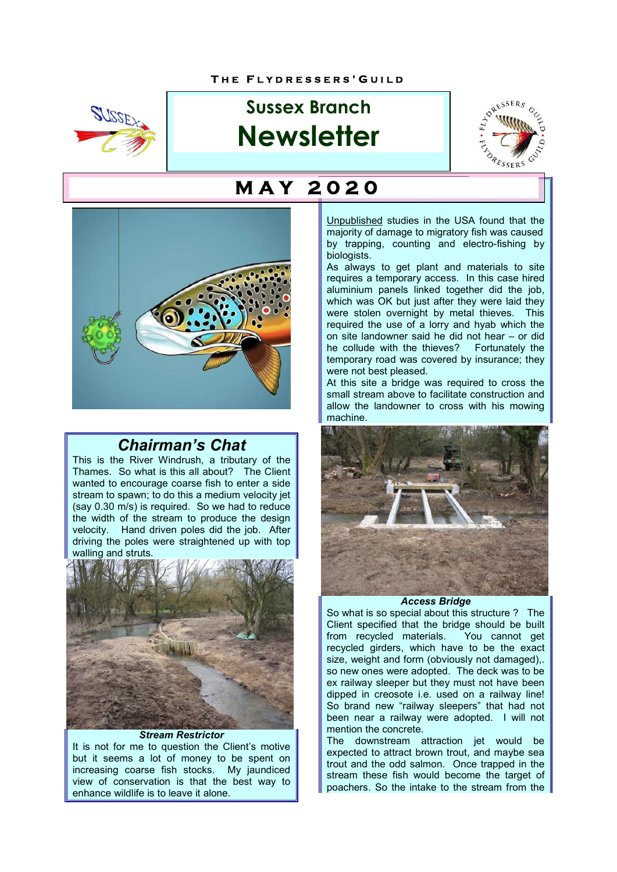

# **Sussex Branch Newsletter**





## *Chairman's Chat*

This is the River Windrush, a tributary of the Thames. So what is this all about? The Client wanted to encourage coarse fish to enter a side stream to spawn; to do this a medium velocity jet (say 0.30 m/s) is required. So we had to reduce the width of the stream to produce the design velocity. Hand driven poles did the job. After driving the poles were straightened up with top walling and struts.



*Stream Restrictor* It is not for me to question the Client's motive but it seems a lot of money to be spent on increasing coarse fish stocks. My jaundiced view of conservation is that the best way to enhance wildlife is to leave it alone.

## **M A Y 2 0 2 0**

Unpublished studies in the USA found that the majority of damage to migratory fish was caused by trapping, counting and electro-fishing by biologists.

As always to get plant and materials to site requires a temporary access. In this case hired aluminium panels linked together did the job, which was OK but just after they were laid they were stolen overnight by metal thieves. This required the use of a lorry and hyab which the on site landowner said he did not hear – or did he collude with the thieves? Fortunately the temporary road was covered by insurance; they were not best pleased.

At this site a bridge was required to cross the small stream above to facilitate construction and allow the landowner to cross with his mowing machine.



#### *Access Bridge*

So what is so special about this structure ? The Client specified that the bridge should be built from recycled materials. You cannot get from recycled materials. recycled girders, which have to be the exact size, weight and form (obviously not damaged),. so new ones were adopted. The deck was to be ex railway sleeper but they must not have been dipped in creosote i.e. used on a railway line! So brand new "railway sleepers" that had not been near a railway were adopted. I will not mention the concrete.

The downstream attraction jet would be expected to attract brown trout, and maybe sea trout and the odd salmon. Once trapped in the stream these fish would become the target of poachers. So the intake to the stream from the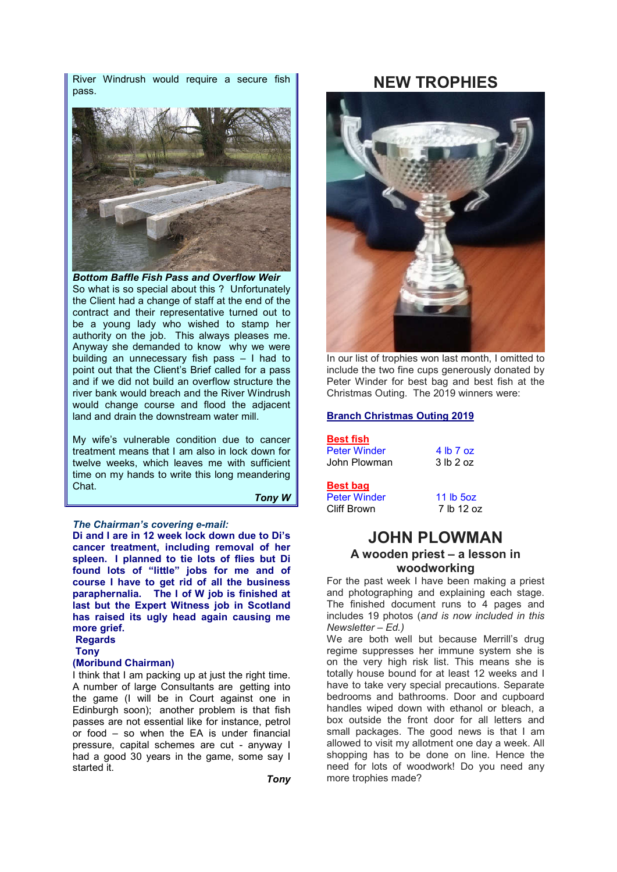River Windrush would require a secure fish pass.



*Bottom Baffle Fish Pass and Overflow Weir* So what is so special about this ? Unfortunately the Client had a change of staff at the end of the contract and their representative turned out to be a young lady who wished to stamp her authority on the job. This always pleases me. Anyway she demanded to know why we were building an unnecessary fish pass – I had to point out that the Client's Brief called for a pass and if we did not build an overflow structure the river bank would breach and the River Windrush would change course and flood the adjacent land and drain the downstream water mill.

My wife's vulnerable condition due to cancer treatment means that I am also in lock down for twelve weeks, which leaves me with sufficient time on my hands to write this long meandering Chat.

 *Tony W*

#### *The Chairman's covering e-mail:*

**Di and I are in 12 week lock down due to Di's cancer treatment, including removal of her spleen. I planned to tie lots of flies but Di found lots of "little" jobs for me and of course I have to get rid of all the business paraphernalia. The I of W job is finished at last but the Expert Witness job in Scotland has raised its ugly head again causing me more grief.**

**Regards**

#### **Tony**

#### **(Moribund Chairman)**

I think that I am packing up at just the right time. A number of large Consultants are getting into the game (I will be in Court against one in Edinburgh soon); another problem is that fish passes are not essential like for instance, petrol or food – so when the EA is under financial pressure, capital schemes are cut - anyway I had a good 30 years in the game, some say I started it.

## **NEW TROPHIES**



In our list of trophies won last month, I omitted to include the two fine cups generously donated by Peter Winder for best bag and best fish at the Christmas Outing. The 2019 winners were:

#### **Branch Christmas Outing 2019**

#### **Best fish**

Peter Winder 4 lb 7 oz<br>John Plowman 3 lb 2 oz John Plowman

#### **Best bag**

Peter Winder 11 lb 5oz<br>Cliff Brown 7 lb 12 oz Cliff Brown

#### **JOHN PLOWMAN A wooden priest – a lesson in woodworking**

For the past week I have been making a priest and photographing and explaining each stage. The finished document runs to 4 pages and includes 19 photos (*and is now included in this Newsletter – Ed.)*

We are both well but because Merrill's drug regime suppresses her immune system she is on the very high risk list. This means she is totally house bound for at least 12 weeks and I have to take very special precautions. Separate bedrooms and bathrooms. Door and cupboard handles wiped down with ethanol or bleach, a box outside the front door for all letters and small packages. The good news is that I am allowed to visit my allotment one day a week. All shopping has to be done on line. Hence the need for lots of woodwork! Do you need any more trophies made?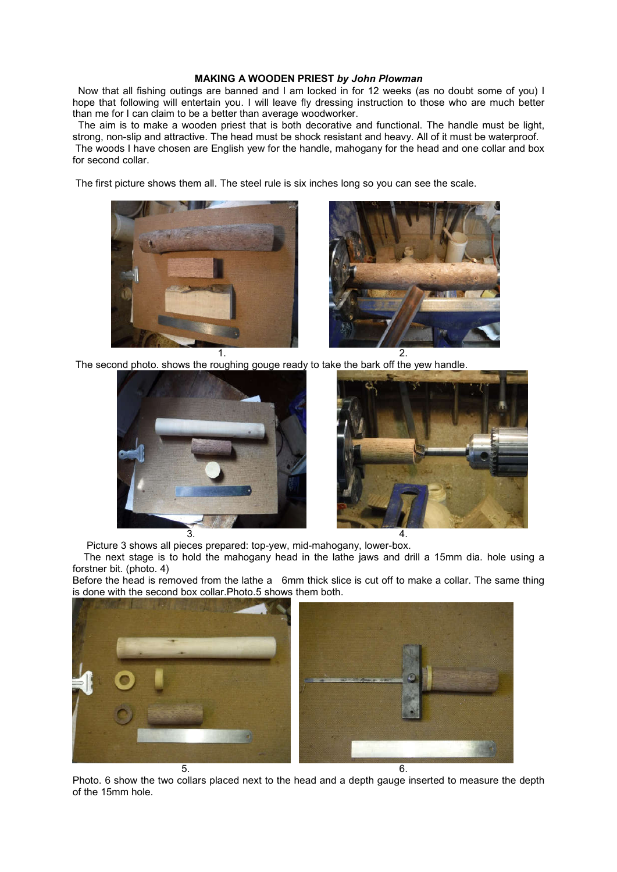#### **MAKING A WOODEN PRIEST** *by John Plowman*

 Now that all fishing outings are banned and I am locked in for 12 weeks (as no doubt some of you) I hope that following will entertain you. I will leave fly dressing instruction to those who are much better than me for I can claim to be a better than average woodworker.

 The aim is to make a wooden priest that is both decorative and functional. The handle must be light, strong, non-slip and attractive. The head must be shock resistant and heavy. All of it must be waterproof. The woods I have chosen are English yew for the handle, mahogany for the head and one collar and box for second collar.

The first picture shows them all. The steel rule is six inches long so you can see the scale.





The second photo. shows the roughing gouge ready to take the bark off the yew handle.





Picture 3 shows all pieces prepared: top-yew, mid-mahogany, lower-box.

 The next stage is to hold the mahogany head in the lathe jaws and drill a 15mm dia. hole using a forstner bit. (photo. 4)

Before the head is removed from the lathe a 6mm thick slice is cut off to make a collar. The same thing is done with the second box collar.Photo.5 shows them both.



Photo. 6 show the two collars placed next to the head and a depth gauge inserted to measure the depth of the 15mm hole.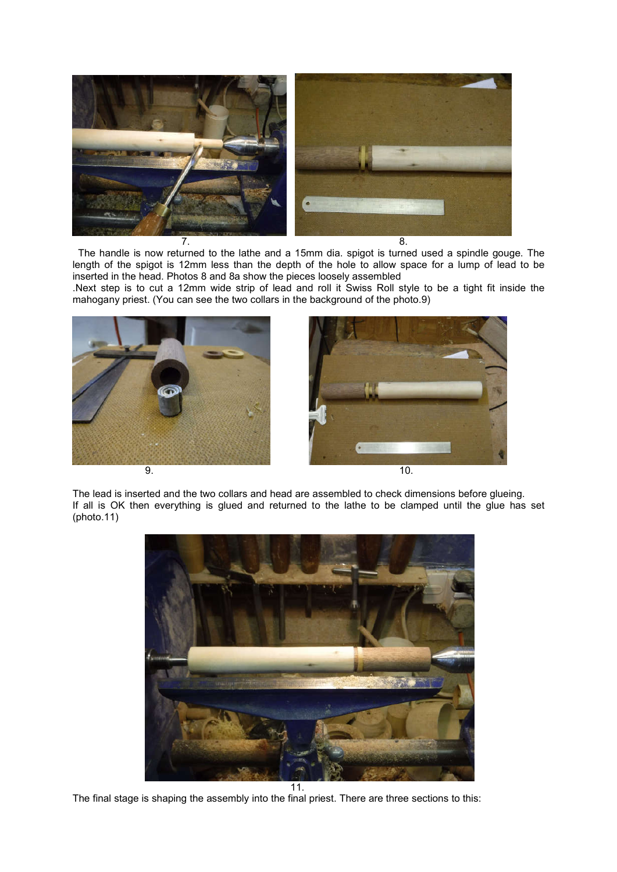

 The handle is now returned to the lathe and a 15mm dia. spigot is turned used a spindle gouge. The length of the spigot is 12mm less than the depth of the hole to allow space for a lump of lead to be inserted in the head. Photos 8 and 8a show the pieces loosely assembled

.Next step is to cut a 12mm wide strip of lead and roll it Swiss Roll style to be a tight fit inside the mahogany priest. (You can see the two collars in the background of the photo.9)



The lead is inserted and the two collars and head are assembled to check dimensions before glueing. If all is OK then everything is glued and returned to the lathe to be clamped until the glue has set (photo.11)



The final stage is shaping the assembly into the final priest. There are three sections to this: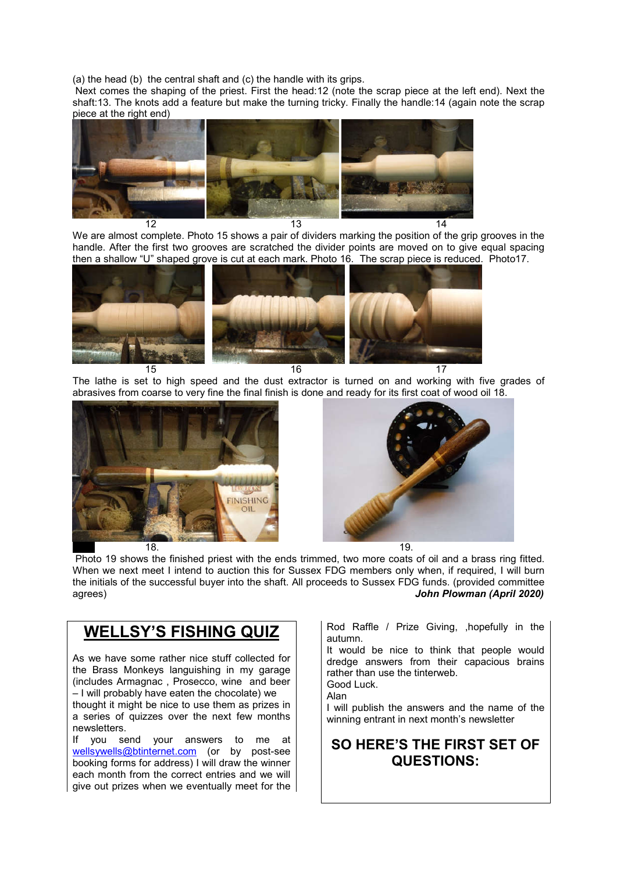(a) the head (b) the central shaft and (c) the handle with its grips.

 Next comes the shaping of the priest. First the head:12 (note the scrap piece at the left end). Next the shaft:13. The knots add a feature but make the turning tricky. Finally the handle:14 (again note the scrap piece at the right end)



We are almost complete. Photo 15 shows a pair of dividers marking the position of the grip grooves in the handle. After the first two grooves are scratched the divider points are moved on to give equal spacing then a shallow "U" shaped grove is cut at each mark. Photo 16. The scrap piece is reduced. Photo17.



The lathe is set to high speed and the dust extractor is turned on and working with five grades of abrasives from coarse to very fine the final finish is done and ready for its first coat of wood oil 18.





 Photo 19 shows the finished priest with the ends trimmed, two more coats of oil and a brass ring fitted. When we next meet I intend to auction this for Sussex FDG members only when, if required, I will burn the initials of the successful buyer into the shaft. All proceeds to Sussex FDG funds. (provided committee agrees)<br>John Plowman (April 2020) **John Plowman (April 2020)** 

## **WELLSY'S FISHING QUIZ**

As we have some rather nice stuff collected for the Brass Monkeys languishing in my garage (includes Armagnac , Prosecco, wine and beer – I will probably have eaten the chocolate) we

thought it might be nice to use them as prizes in a series of quizzes over the next few months newsletters.

If you send your answers to me at wellsywells@btinternet.com (or by post-see booking forms for address) I will draw the winner each month from the correct entries and we will give out prizes when we eventually meet for the Rod Raffle / Prize Giving, ,hopefully in the autumn.

It would be nice to think that people would dredge answers from their capacious brains rather than use the tinterweb. Good Luck.

Alan

I will publish the answers and the name of the winning entrant in next month's newsletter

## **SO HERE'S THE FIRST SET OF QUESTIONS:**